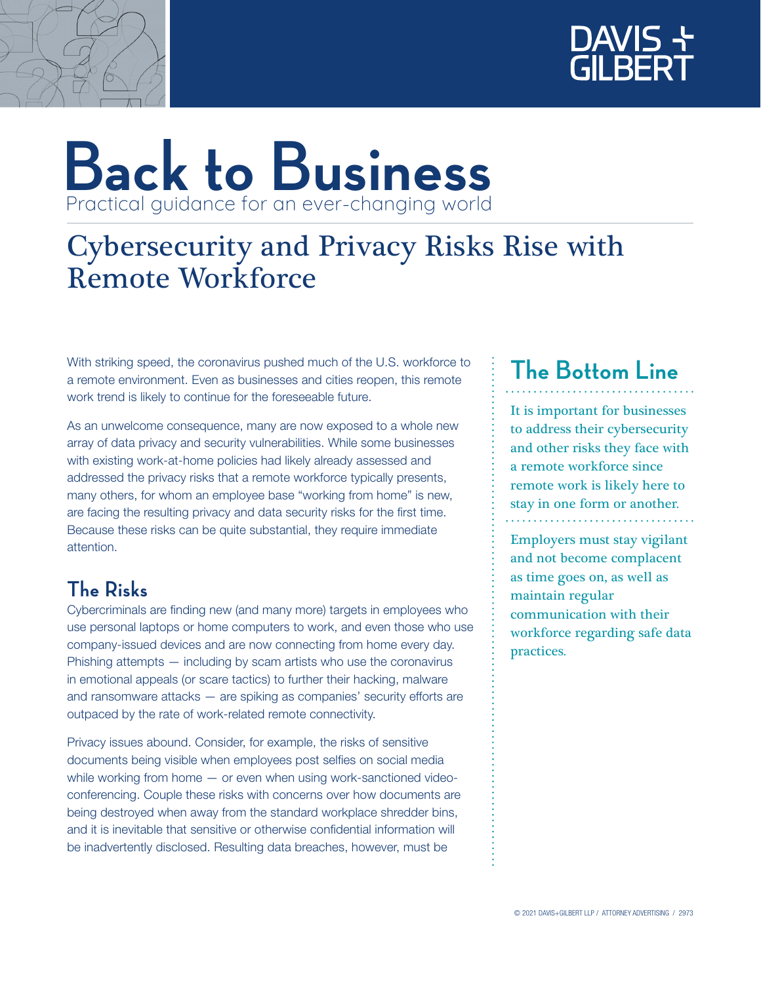



## **Back to Business** Practical guidance for an ever-changing world

## Cybersecurity and Privacy Risks Rise with Remote Workforce

With striking speed, the coronavirus pushed much of the U.S. workforce to a remote environment. Even as businesses and cities reopen, this remote work trend is likely to continue for the foreseeable future.

As an unwelcome consequence, many are now exposed to a whole new array of data privacy and security vulnerabilities. While some businesses with existing work-at-home policies had likely already assessed and addressed the privacy risks that a remote workforce typically presents, many others, for whom an employee base "working from home" is new, are facing the resulting privacy and data security risks for the first time. Because these risks can be quite substantial, they require immediate attention.

### **The Risks**

Cybercriminals are finding new (and many more) targets in employees who use personal laptops or home computers to work, and even those who use company-issued devices and are now connecting from home every day. Phishing attempts — including by scam artists who use the coronavirus in emotional appeals (or scare tactics) to further their hacking, malware and ransomware attacks — are spiking as companies' security efforts are outpaced by the rate of work-related remote connectivity.

Privacy issues abound. Consider, for example, the risks of sensitive documents being visible when employees post selfies on social media while working from home — or even when using work-sanctioned videoconferencing. Couple these risks with concerns over how documents are being destroyed when away from the standard workplace shredder bins, and it is inevitable that sensitive or otherwise confidential information will be inadvertently disclosed. Resulting data breaches, however, must be

### **The Bottom Line**

It is important for businesses to address their cybersecurity and other risks they face with a remote workforce since remote work is likely here to stay in one form or another.

Employers must stay vigilant and not become complacent as time goes on, as well as maintain regular communication with their workforce regarding safe data practices.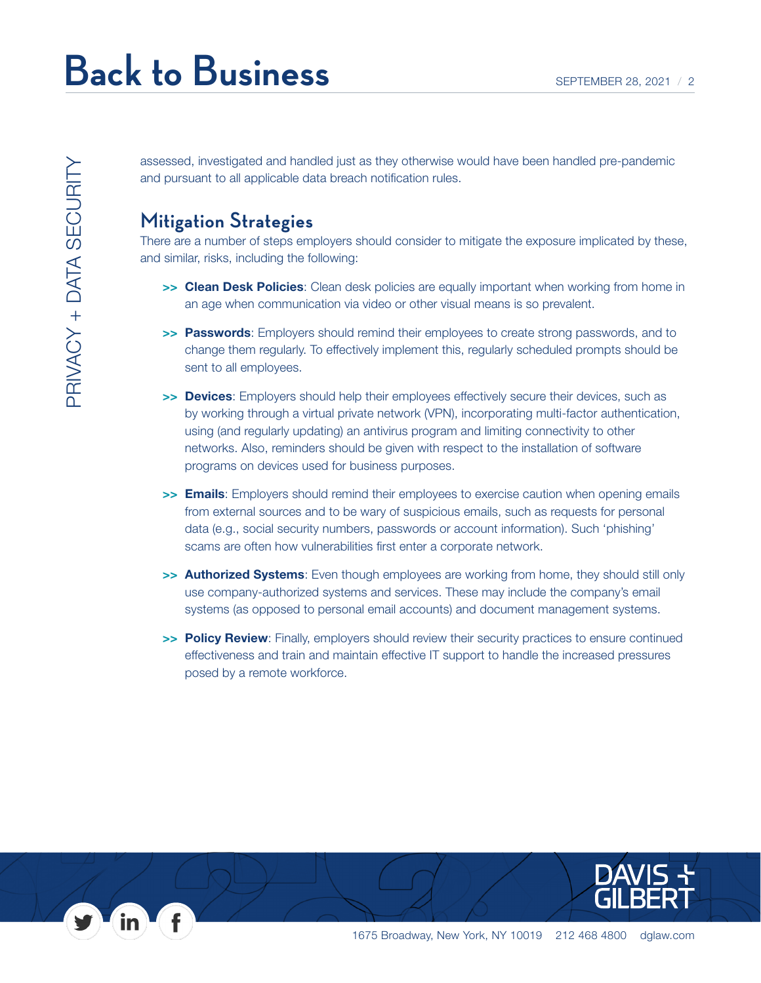assessed, investigated and handled just as they otherwise would have been handled pre-pandemic and pursuant to all applicable data breach notification rules.

#### **Mitigation Strategies**

There are a number of steps employers should consider to mitigate the exposure implicated by these, and similar, risks, including the following:

- >> Clean Desk Policies: Clean desk policies are equally important when working from home in an age when communication via video or other visual means is so prevalent.
- >> Passwords: Employers should remind their employees to create strong passwords, and to change them regularly. To effectively implement this, regularly scheduled prompts should be sent to all employees.
- >> Devices: Employers should help their employees effectively secure their devices, such as by working through a virtual private network (VPN), incorporating multi-factor authentication, using (and regularly updating) an antivirus program and limiting connectivity to other networks. Also, reminders should be given with respect to the installation of software programs on devices used for business purposes.
- >> Emails: Employers should remind their employees to exercise caution when opening emails from external sources and to be wary of suspicious emails, such as requests for personal data (e.g., social security numbers, passwords or account information). Such 'phishing' scams are often how vulnerabilities first enter a corporate network.
- >> Authorized Systems: Even though employees are working from home, they should still only use company-authorized systems and services. These may include the company's email systems (as opposed to personal email accounts) and document management systems.
- >> Policy Review: Finally, employers should review their security practices to ensure continued effectiveness and train and maintain effective IT support to handle the increased pressures posed by a remote workforce.